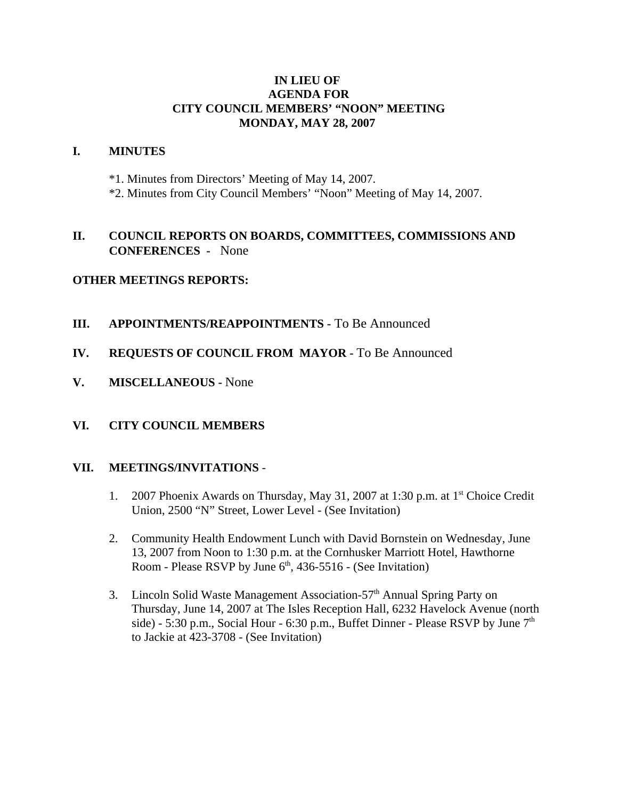#### **IN LIEU OF AGENDA FOR CITY COUNCIL MEMBERS' "NOON" MEETING MONDAY, MAY 28, 2007**

#### **I. MINUTES**

- \*1. Minutes from Directors' Meeting of May 14, 2007.
- \*2. Minutes from City Council Members' "Noon" Meeting of May 14, 2007.

## **II. COUNCIL REPORTS ON BOARDS, COMMITTEES, COMMISSIONS AND CONFERENCES -** None

## **OTHER MEETINGS REPORTS:**

- **III. APPOINTMENTS/REAPPOINTMENTS -** To Be Announced
- **IV. REQUESTS OF COUNCIL FROM MAYOR -** To Be Announced
- **V. MISCELLANEOUS** None

## **VI. CITY COUNCIL MEMBERS**

#### **VII. MEETINGS/INVITATIONS** -

- 1. 2007 Phoenix Awards on Thursday, May 31, 2007 at 1:30 p.m. at 1st Choice Credit Union, 2500 "N" Street, Lower Level - (See Invitation)
- 2. Community Health Endowment Lunch with David Bornstein on Wednesday, June 13, 2007 from Noon to 1:30 p.m. at the Cornhusker Marriott Hotel, Hawthorne Room - Please RSVP by June  $6<sup>th</sup>$ , 436-5516 - (See Invitation)
- 3. Lincoln Solid Waste Management Association-57<sup>th</sup> Annual Spring Party on Thursday, June 14, 2007 at The Isles Reception Hall, 6232 Havelock Avenue (north side) - 5:30 p.m., Social Hour - 6:30 p.m., Buffet Dinner - Please RSVP by June  $7<sup>th</sup>$ to Jackie at 423-3708 - (See Invitation)